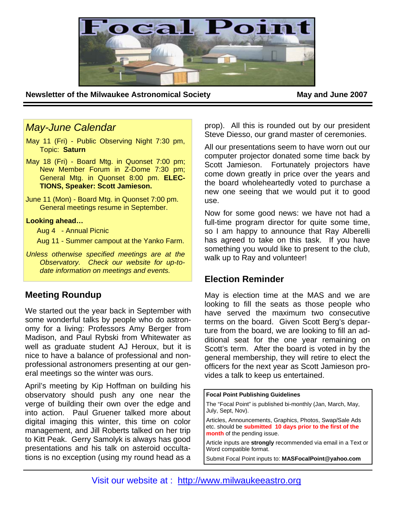

**Newsletter of the Milwaukee Astronomical Society May and June 2007** 

## *May-June Calendar*

- May 11 (Fri) Public Observing Night 7:30 pm, Topic: **Saturn**
- May 18 (Fri) Board Mtg. in Quonset 7:00 pm; New Member Forum in Z-Dome 7:30 pm; General Mtg. in Quonset 8:00 pm. **ELEC-TIONS, Speaker: Scott Jamieson.**
- June 11 (Mon) Board Mtg. in Quonset 7:00 pm. General meetings resume in September.

### **Looking ahead…**

Aug 4 - Annual Picnic

Aug 11 - Summer campout at the Yanko Farm.

*Unless otherwise specified meetings are at the Observatory. Check our website for up-todate information on meetings and events.* 

# **Meeting Roundup**

We started out the year back in September with some wonderful talks by people who do astronomy for a living: Professors Amy Berger from Madison, and Paul Rybski from Whitewater as well as graduate student AJ Heroux, but it is nice to have a balance of professional and nonprofessional astronomers presenting at our general meetings so the winter was ours.

April's meeting by Kip Hoffman on building his observatory should push any one near the verge of building their own over the edge and into action. Paul Gruener talked more about digital imaging this winter, this time on color management, and Jill Roberts talked on her trip to Kitt Peak. Gerry Samolyk is always has good presentations and his talk on asteroid occultations is no exception (using my round head as a prop). All this is rounded out by our president Steve Diesso, our grand master of ceremonies.

All our presentations seem to have worn out our computer projector donated some time back by Scott Jamieson. Fortunately projectors have come down greatly in price over the years and the board wholeheartedly voted to purchase a new one seeing that we would put it to good use.

Now for some good news: we have not had a full-time program director for quite some time, so I am happy to announce that Ray Alberelli has agreed to take on this task. If you have something you would like to present to the club, walk up to Ray and volunteer!

## **Election Reminder**

May is election time at the MAS and we are looking to fill the seats as those people who have served the maximum two consecutive terms on the board. Given Scott Berg's departure from the board, we are looking to fill an additional seat for the one year remaining on Scott's term. After the board is voted in by the general membership, they will retire to elect the officers for the next year as Scott Jamieson provides a talk to keep us entertained.

**Focal Point Publishing Guidelines** 

The "Focal Point" is published bi-monthly (Jan, March, May, July, Sept, Nov).

Articles, Announcements, Graphics, Photos, Swap/Sale Ads etc. should be **submitted 10 days prior to the first of the month** of the pending issue.

Article inputs are **strongly** recommended via email in a Text or Word compatible format.

Submit Focal Point inputs to: **MASFocalPoint@yahoo.com**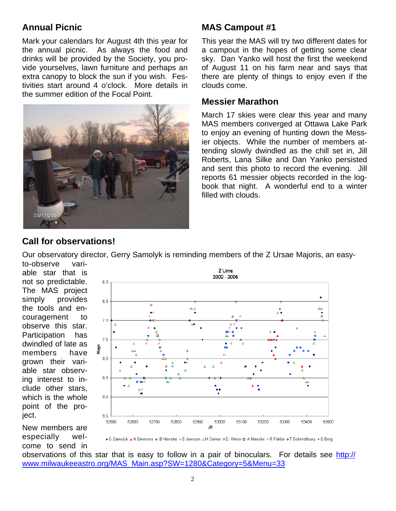# **Annual Picnic**

Mark your calendars for August 4th this year for the annual picnic. As always the food and drinks will be provided by the Society, you provide yourselves, lawn furniture and perhaps an extra canopy to block the sun if you wish. Festivities start around 4 o'clock. More details in the summer edition of the Focal Point.



# **MAS Campout #1**

This year the MAS will try two different dates for a campout in the hopes of getting some clear sky. Dan Yanko will host the first the weekend of August 11 on his farm near and says that there are plenty of things to enjoy even if the clouds come.

### **Messier Marathon**

March 17 skies were clear this year and many MAS members converged at Ottawa Lake Park to enjoy an evening of hunting down the Messier objects. While the number of members attending slowly dwindled as the chill set in, Jill Roberts, Lana Silke and Dan Yanko persisted and sent this photo to record the evening. Jill reports 61 messier objects recorded in the logbook that night. A wonderful end to a winter filled with clouds.

## **Call for observations!**

Our observatory director, Gerry Samolyk is reminding members of the Z Ursae Majoris, an easy-

to-observe variable star that is not so predictable. The MAS project simply provides the tools and encouragement to observe this star. Participation has dwindled of late as members have grown their variable star observing interest to include other stars, which is the whole point of the project.

New members are especially welcome to send in



+ G Samolyk ▲N Simmons ■ B Manske + S Jamison △H Gerner □ D. Weier □ A Manske ◇R Poklar +T Schmidtkunz ◆S Berg

observations of this star that is easy to follow in a pair of binoculars. For details see http:// www.milwaukeeastro.org/MAS\_Main.asp?SW=1280&Category=5&Menu=33